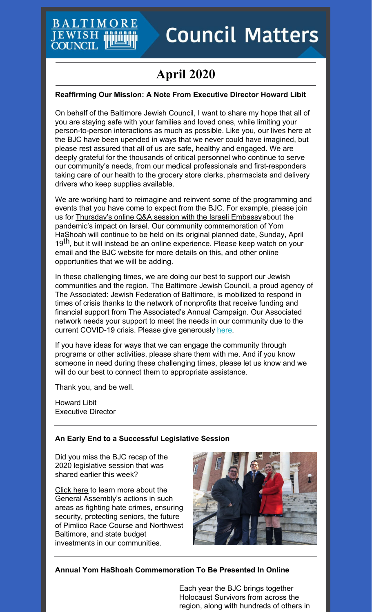# BALTIM EWISH COUNCIL

# **Council Matters**

# **April 2020**

# **Reaffirming Our Mission: A Note From Executive Director Howard Libit**

On behalf of the Baltimore Jewish Council, I want to share my hope that all of you are staying safe with your families and loved ones, while limiting your person-to-person interactions as much as possible. Like you, our lives here at the BJC have been upended in ways that we never could have imagined, but please rest assured that all of us are safe, healthy and engaged. We are deeply grateful for the thousands of critical personnel who continue to serve our community's needs, from our medical professionals and first-responders taking care of our health to the grocery store clerks, pharmacists and delivery drivers who keep supplies available.

We are working hard to reimagine and reinvent some of the programming and events that you have come to expect from the BJC. For example, please join us for [Thursday's](https://www.baltjc.org/calendar/covid19-israel) online Q&A session with the Israeli Embassyabout the pandemic's impact on Israel. Our community commemoration of Yom HaShoah will continue to be held on its original planned date, Sunday, April 19<sup>th</sup>, but it will instead be an online experience. Please keep watch on your email and the BJC website for more details on this, and other online opportunities that we will be adding.

In these challenging times, we are doing our best to support our Jewish communities and the region. The Baltimore Jewish Council, a proud agency of The Associated: Jewish Federation of Baltimore, is mobilized to respond in times of crisis thanks to the network of nonprofits that receive funding and financial support from The Associated's Annual Campaign. Our Associated network needs your support to meet the needs in our community due to the current COVID-19 crisis. Please give generously [here](https://4249bl.blackbaudhosting.com/gift).

If you have ideas for ways that we can engage the community through programs or other activities, please share them with me. And if you know someone in need during these challenging times, please let us know and we will do our best to connect them to appropriate assistance.

Thank you, and be well.

Howard Libit Executive Director

# **An Early End to a Successful Legislative Session**

Did you miss the BJC recap of the 2020 legislative session that was shared earlier this week?

[Click](https://cdn.fedweb.org/fed-48/2/2020%2520Legislative%2520Priorities%2520Report.pdf) here to learn more about the General Assembly's actions in such areas as fighting hate crimes, ensuring security, protecting seniors, the future of Pimlico Race Course and Northwest Baltimore, and state budget investments in our communities.



# **Annual Yom HaShoah Commemoration To Be Presented In Online**

Each year the BJC brings together Holocaust Survivors from across the region, along with hundreds of others in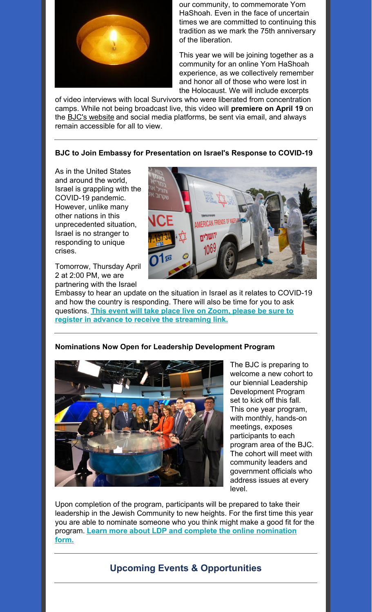

our community, to commemorate Yom HaShoah. Even in the face of uncertain times we are committed to continuing this tradition as we mark the 75th anniversary of the liberation.

This year we will be joining together as a community for an online Yom HaShoah experience, as we collectively remember and honor all of those who were lost in the Holocaust. We will include excerpts

of video interviews with local Survivors who were liberated from concentration camps. While not being broadcast live, this video will **premiere on April 19** on the **BJC's [website](http://baltjc.org)** and social media platforms, be sent via email, and always remain accessible for all to view.

## **BJC to Join Embassy for Presentation on Israel's Response to COVID-19**

As in the United States and around the world, Israel is grappling with the COVID-19 pandemic. However, unlike many other nations in this unprecedented situation, Israel is no stranger to responding to unique crises.

Tomorrow, Thursday April 2 at 2:00 PM, we are partnering with the Israel



Embassy to hear an update on the situation in Israel as it relates to COVID-19 and how the country is responding. There will also be time for you to ask questions. **This event will take place live on Zoom, please be sure to register in advance to receive the [streaming](https://jcfb.zoom.us/webinar/register/WN_3p_t0Dv2QwS-hLS4LG6SmQ) link.**



**Nominations Now Open for Leadership Development Program**

The BJC is preparing to welcome a new cohort to our biennial Leadership Development Program set to kick off this fall. This one year program, with monthly, hands-on meetings, exposes participants to each program area of the BJC. The cohort will meet with community leaders and government officials who address issues at every level.

Upon completion of the program, participants will be prepared to take their leadership in the Jewish Community to new heights. For the first time this year you are able to nominate someone who you think might make a good fit for the program. **Learn more about LDP and complete the online [nomination](https://www.baltjc.org/leadership-development) form.**

# **Upcoming Events & Opportunities**